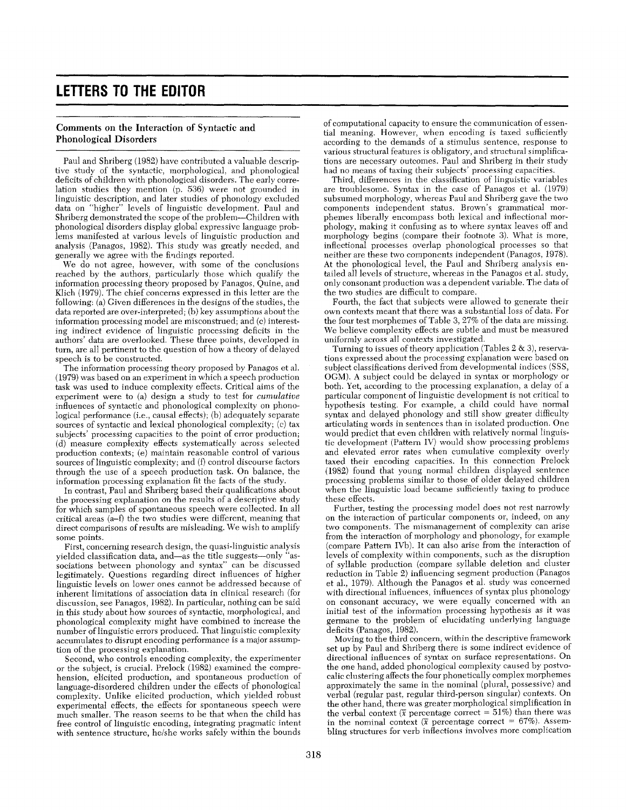# **LETTERS TO THE EDITOR**

### Comments on the Interaction of Syntactic and Phonological Disorders

Paul and Shriberg (1982) have contributed a valuable descriptive study of the syntactic, morphological, and phonological deficits of children with phonological disorders. The early correlation studies they mention (p. 536) were not grounded in linguistic description, and later studies of phonology excluded data on "higher" levels of linguistic development. Paul and Shriberg demonstrated the scope of the problem--Children with phonological disorders display global expressive language problems manifested at various levels of linguistic production and analysis (Panagos, 1982). This study was greatly needed, and generally we agree with the findings reported.

We do not agree, however, with some of the conclusions reached by the authors, particularly those which qualify the information processing theory proposed by Panagos, Quine, and Klieh (1979). The chief concerns expressed in this letter are the following: (a) Given differences in the designs of the studies, the data reported are over-interpreted; (b) key assumptions about the information processing model are misconstrued; and (c) interesting indirect evidence of linguistic processing deficits in the authors' data are overlooked. These three points, developed in turn, are all pertinent to the question of how a theory of delayed speech is to be constructed.

The information processing theory proposed by Panagos et al. (1979) was based on an experiment in which a speech production task was used to induce complexity effects. Critical aims of the experiment were to (a) design a study to test for *cumulative*  influences of syntactic and phonological complexity on phonological performance (i.e., causal effects); (b) adequately separate sources of syntactic and lexical phonological complexity; (c) tax subjects' processing capacities to the point of error production; (d) measure complexity effects systematically across selected production contexts; (e) maintain reasonable control of various sources of linguistic complexity; and (f) control discourse factors through the use of a speech production task. On balance, the information processing explanation fit the facts of the study.

In eontrast, Paul and Shriberg based their qualifications about the proeessing explanation on the results of a descriptive study for which samples of spontaneous speech were collected. In all critical areas (a-t) the two studies were different, meaning that direet comparisons of results are misleading. We wish to amplify some points.

First, concerning research design, the quasi-linguistic analysis yielded classification data, and-as the title suggests-only "associations between phonology and syntax" can be discussed legitimately. Questions regarding direct influences of higher linguistic levels on lower ones cannot be addressed because of inherent limitations of association data in clinical research (for discussion, see Panagos, 1982). In particular, nothing can be said in this study about how sources of syntactic, morphological, and phonological complexity might have combined to increase the number of linguistic errors produced. That linguistic complexity accumulates to disrupt eneoding performance is a major assumption of the proeessing explanation.

Second, who controls encoding complexity, the experimenter or the subject, is crucial. Prelock (1982) examined the comprehension, elicited production, and spontaneous production of language-disordered children under the effects of phonological complexity. Unlike elicited production, which yielded robust experimental effects, the effects for spontaneous speech were much smaller. The reason seems to be that when the child has free control of linguistic encoding, integrating pragmatic intent with sentence structure, he/she works safely within the bounds

of computational capacity to ensure the communication of essential meaning. However, when eneoding is taxed sufficiently according to the demands of a stimulus sentence, response to various structural features is obligatory, and structural simplifications are necessary outcomes. Paul and Shriberg in their study had no means of taxing their subjects' processing capacities.

Third, differences in the classification of linguistic variables are troublesome. Syntax in the ease of Panagos et al. (1979) subsumed morphology, whereas Paul and Shriberg gave the two components independent status. Brown's grammatical morphemes liberally encompass both lexical and inflectional morphology, making it confusing as to where syntax leaves off and morphology begins (compare their footnote 3). What is more, inflectional processes overlap phonological processes so that neither are these two components independent (Panagos, 1978). At the phonological level, the Paul and Shriberg analysis entailed all levels of strueture, whereas in the Panagos et al. study, only consonant production was a dependent variable. The data of the two studies are difficult to compare.

Fourth, the fact that subjects were allowed to generate their own contexts meant that there was a substantial loss of data. For the four test morphemes of Table 3, 27% of the data are missing. We believe complexity effects are subtle and must be measured uniformly across all contexts investigated.

Turning to issues of theory application (Tables 2 & 3), reservations expressed about the processing explanation were based on subject classifications derived from developmental indices (SSS, OGM). A subject could be delayed in syntax or morphology or both. Yet, according to the processing explanation, a delay of a particular component of linguistic development is not critical to hypothesis testing. For example, a child could have normal syntax and delayed phonology and still show greater difficulty articulating words in sentences than in isolated production. One would predict that even children with relatively normal linguistic development (Pattern IV) would show processing problems and elevated error rates when cumulative complexity overly taxed their encoding capacities. In this connection Prelock (1982) found that young normal children displayed sentence processing problems similar to those of older delayed children when the linguistic load became sufficiently taxing to produce these effects.

Further, testing the processing model does not rest narrowly on the interaction of particular components or, indeed, on any two components. The mismanagement of complexity can arise from the interaction of morphology and phonology, for example (compare Pattern IVb). It can also arise from the interaction of levels of complexity within components, such as the disruption of syllable production (compare syllable deletion and cluster reduction in Table 2) influencing segment production (Panagos et al., 1979). Although the Panagos et al. study was concerned with directional influences, influences of syntax plus phonology on consonant accuracy, we were equally concerned with an initial test of the information processing hypothesis as it was germane to the problem of elucidating underlying language deficits (Panagos, 1982).

Moving to the third concern, within the descriptive framework set up by Paul and Shriberg there is some indirect evidence of directional influences of syntax on surface representations. On the one hand, added phonological complexity caused by postvocalic clustering affects the four phonetically complex morphemes approximately the same in the nominal (plural, possessive) and verbal (regular past, regular third-person singular) contexts. On the other hand, there was greater morphological simplification in the verbal context ( $\bar{x}$  percentage correct = 51%) than there was in the nominal context ( $\bar{x}$  percentage correct = 67%). Assembling structures for verb inflections involves more complication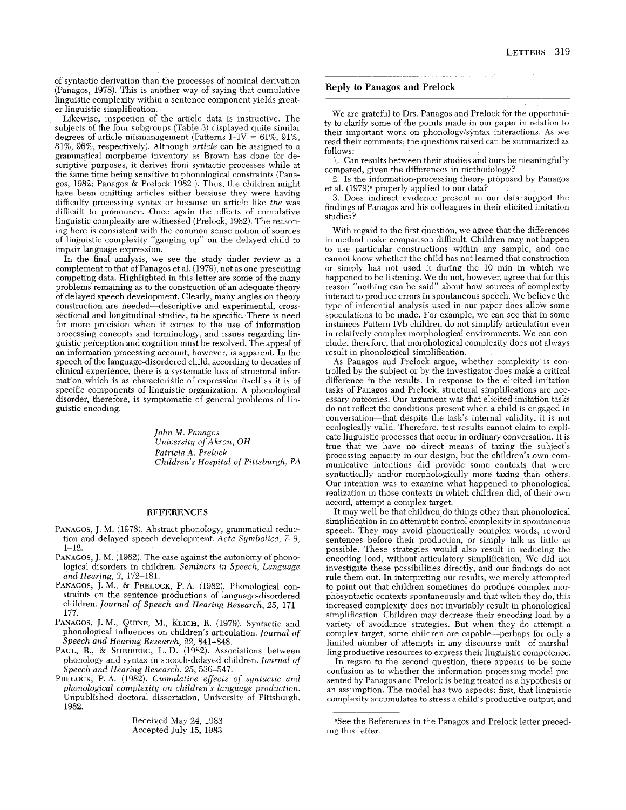of syntactic derivation than the processes of nominal derivation (Panagos, 1978). This is another way of saying that cumulative linguistic complexity within a sentence component yields greater linguistic simplification.

Likewise, inspection of the article data is instructive. The subjects of the four subgroups (Table 3) displayed quite similar degrees of article mismanagement (Patterns I-IV =  $61\%$ ,  $91\%$ , 81%, 96%; respectively). Although *article* can be assigned to a grammatical morpheme inventory as Brown has done for descriptive purposes, it derives from syntactic processes while at the same time being sensitive to phonological constraints (Panagos, 1982; Panagos & Prelock 1982 ). Thus, the children might have been omitting articles either beeause they were having difficulty processing syntax or because an article like *the* was difficult to pronounce. Once again the effects of cumulative linguistic complexity are witnessed (Prelock, 1982). The reasoning here is consistent with the common sense notion of sources of linguistic complexity "ganging up" on the delayed child to impair language expression.

In the final analysis, we see the study under review as a complement to that of Panagos et al. (1979), not as one presenting competing data. Highlighted in this letter are some of the many problems remaining as to the construction of an adequate theory of delayed speech development. Clearly, many angles on theory construction are needed--descriptive and experimental, crosssectional and longitudinal studies, to be specific. There is need for more precision when it comes to the use of information processing concepts and terminology, and issues regarding linguistic perception and cognition must be resolved. The appeal of an information processing account, however, is apparent. In the speech of the language-disordered child, according to decades of clinical experience, there is a systematic loss of structural infor~ marion which is as characteristic of expresslon itself as it is of specific components of linguistic organization. A phonological disorder, therefore, is symptomatic of general problems of linguistic encoding.

> *John M. Panagos University of Akron, OH Patricia A. Prelock Children's Hospital of Pittsburgh, PA*

#### **REFERENCES**

- PANAGOS, J. M. (1978). AbStract phonology, grammatical reduction and delayed speech development. *Acta Symbolica*, 7-9, 1-12.
- PANAGOS, J. M. (1982). The ease against the autonomy of phonological disorders in children. *Seminars in Speech, Language and Hearing, 3,* 172-181.
- PANAGOS, J.M., & PRELOCK, P.A. (1982). Phonological constraints on the sentence productions of language-disordered children. *Journal of Speech and Hearing Research, 25,* 171- 177.
- PANAGOS, J.M., QUINE, M., KLICH, R. (1979). Syntactic and phonological influences on children's articulation. *Journal of Speech and Hearing Research, 22,* 841-848.
- PAUL, R., & SHRIBERG, L.D. (1982). Associations between phonology and syntax in speech-delayed children. *Journal of Speech and Hearing Research, 25,* 536-547.
- PRELOCK, P.A. (1982). *Cumulative effects of syntactic and phonological complexity on children's language production.*  Unpublished doctoral dissertation, University of Pittsburgh, 1982.

Received May 24, 1983 Accepted July 15, 1983

#### **Reply to Panagos and Prelock**

We are grateful to Drs. Panagos and Preloek for the opportunity to clarify some of the points made in our paper in relation to their important work on phonology/syntax interactions. As we read their comments, the questions raised can be summarized as follows:

1. Can results between their studies and ours be meaningfully compared, given the differences in methodology?

2. Is the information-processing theory proposed by Panagos et al. (1979)<sup>a</sup> properly applied to our data?

3. Does indirect evidence present in our data support the findings of Panagos and his colleagues in their elicited imitation studies ?

With regard to the first question, we agree that the differences in method make comparison difficult. Children may not happen to use particular constructions within any sample, and one cannot know whether the ehild has not learned that construction or simply has not used it during the 10 min m which we happened to be listening. We do not, however, agree that for this reason "nothing can be said" about how sources of complexity interact to produce errors in spontaneous speech. We believe the type of inferential analysis used in our paper does allow some  $s$  peculations to be made. For example, we can see that in some instances Pattern IVb children do not simplify articulation even in relatively complex morphological enwronments. We can conelude, therefore, that morphological complexity does not always result in phonological simplification.

As Panagos and Prelock argue, whether complexity is controlled by the subject or by the investigator does make a critical difference in the results. In response to the elicited imitation tasks of Panagos and Prelock. structural simplifications are necessary outcomes. Our argument was that elicited imitation tasks do not reflect the conditions present when a child is engaged in conversation—that despite the task's internal validity, it is not ecologically valid. Therefore. test results cannot claim to explicate linguistic processes that occur in ordinary conversation. It is true that we have no direct means of taxing the subject's processing capacity in our design, but the children's own communicative intentions did provide some contexts that were syntactically and/or morphologically more taxing than others. Our intention was to examine what happened to phonological realization in those contexts in which children did. of their own accord, attempt a complex target.

It may well be that children do things other than phonological simplification in an attempt to control complexity in spontaneous speech. They may avoid phonetically complex words, reword sentences before their production, or simply talk as little as possible. These strategies would also result in reducing the encoding load, without articulatory simplification, We did hot investigate these possibilities directly, and our findings do not rule them out. In interpreting our results, we merely attempted to point out that children sometimes do produce complex morphosyntactic contexts spontaneously and that when they do, this increased complexity does not invariably result in phonological simplifieation. Children may decrease their encoding load by a variety of avoidance strategies. But when they do attempt a complex target, some children are capable—perhaps for only a limited number of attempts in any discourse unit-of marshalling productive resources to express their linguistic competenee.

In regard to the second question, there appears to be some confusion as to whether the information processing model presented by Panagos and Prelock is being treated as a hypothesis or an assumption. The model has two aspects: first, that linguistic complexity accumulates to stress a child's productive output, and

aSee the References in the Panagos and Prelock letter preceding this letter.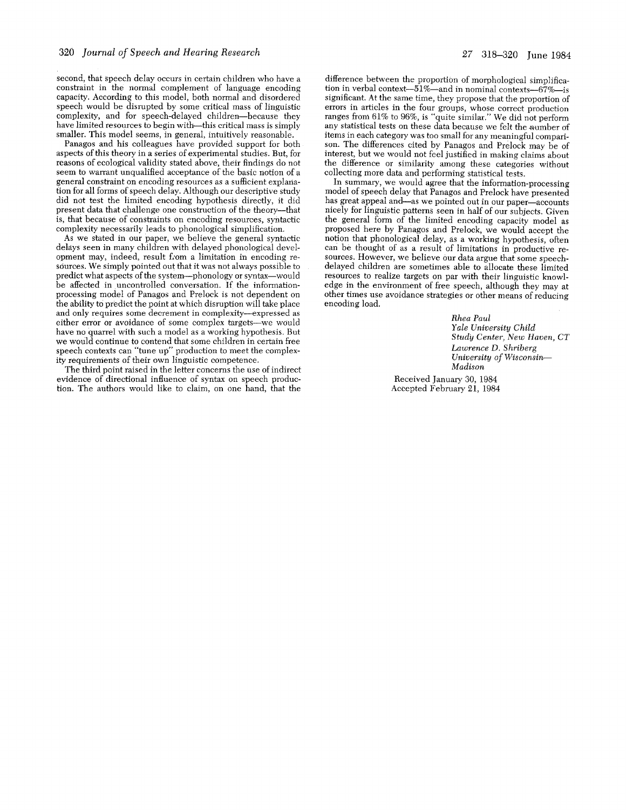second, that speech delay occurs in certain children who have a constraint in the normal complement of language encoding capacity. According to this model, both normal and disordered speech would be disrupted by some critical mass of linguistic complexity, and for speech-delayed children-because they have limited resources to begin with-this critical mass is simply smaller. This model seems, in general, intuitively reasonable.

Panagos and his colleagues have provided support for both aspects of this theory in a series of experimental studies. But, for reasons of ecological validity stated above, their findings do not seem to warrant unqualified acceptance of the basic notion of a general constraint on encoding resources as a sufficient explanation for all forms of speech delay. Although our descriptive study did not test the limited encoding hypothesis directly, it did present data that challenge one construction of the theory--that is, that beeatase of constraints on encoding resources, syntactic complexity necessarily leads to phonological simplification.

As we stated in our paper, we believe the general syntactic delays seen in many children with delayed phonological development may, indeed, result from a limitation in encoding resources. We simply pointed out that it was not always possible to predict what aspects of the system--phonology or syntax--would be affected in uncontrolled conversation. If the informationprocessing model of Panagos and Prelock is not dependent on the ability to predict the point at which disruption will take place and only requires some decrement in complexity--expressed as either error or avoidance of some complex targets--we would have no quarrel with such a model as a working hypothesis. But we would continue to contend that some children in certain free speech contexts can "tune up" production to meet the complexity requirements of their own linguistic competence.

The third point raised in the letter concerns the use of indirect evidence of directional influence of syntax on speech production. The authors would like to claim, on one hand, that the

difference between the proportion of morphological simplification in verbal context- $-51\%$ --and in nominal contexts- $-67\%$ --is significant. At the same time, they propose that the proportion of errors in articles in the four groups, whose correct production ranges from 61% to 96%, is "quite similar." We did not perform any statistical tests on these data because we felt the number of items in each category was too small for any meaningful comparison. The differences cited by Panagos and Prelock may be of interest, but we would not feel justified in making claims about the difference or similarity among these categories without collecting more data and performing statistical tests.

In summary, we would agree that the information-processing model of speech delay that Panagos and Prelock have presented has great appeal and-as we pointed out in our paper--accounts nicely for linguistic patterns seen in half of our subjects. Given the general form of the limited encoding capacity model as proposed here by Panagos and Prelock, we would accept the notion that phonological delay, as a working hypothesis, often can be thought of as a result of limitations in productive resources. However, we believe our data argue that some speechdelayed children are sometimes able to allocate these limited resources to realize targets on par with their linguistic knowledge in the environment of free speech, although they may at other times use avoidance strategies or other means of reducing encoding load.

> *Rhea Paul Yale University Child*   $Study Center, New Haven, CT$ *Lawrence D. Shriberg University of Wisconsin-- Madison*

Received January 30, 1984 Accepted February 21, 1984